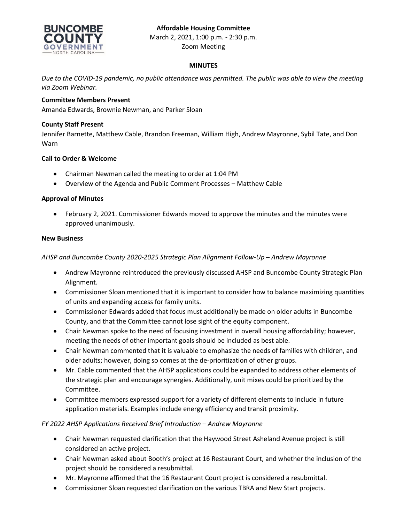# **Affordable Housing Committee**



March 2, 2021, 1:00 p.m. - 2:30 p.m. Zoom Meeting

# **MINUTES**

*Due to the COVID-19 pandemic, no public attendance was permitted. The public was able to view the meeting via Zoom Webinar.*

# **Committee Members Present**

Amanda Edwards, Brownie Newman, and Parker Sloan

## **County Staff Present**

Jennifer Barnette, Matthew Cable, Brandon Freeman, William High, Andrew Mayronne, Sybil Tate, and Don Warn

## **Call to Order & Welcome**

- Chairman Newman called the meeting to order at 1:04 PM
- Overview of the Agenda and Public Comment Processes Matthew Cable

## **Approval of Minutes**

 February 2, 2021. Commissioner Edwards moved to approve the minutes and the minutes were approved unanimously.

## **New Business**

## *AHSP and Buncombe County 2020-2025 Strategic Plan Alignment Follow-Up – Andrew Mayronne*

- Andrew Mayronne reintroduced the previously discussed AHSP and Buncombe County Strategic Plan Alignment.
- Commissioner Sloan mentioned that it is important to consider how to balance maximizing quantities of units and expanding access for family units.
- Commissioner Edwards added that focus must additionally be made on older adults in Buncombe County, and that the Committee cannot lose sight of the equity component.
- Chair Newman spoke to the need of focusing investment in overall housing affordability; however, meeting the needs of other important goals should be included as best able.
- Chair Newman commented that it is valuable to emphasize the needs of families with children, and older adults; however, doing so comes at the de-prioritization of other groups.
- Mr. Cable commented that the AHSP applications could be expanded to address other elements of the strategic plan and encourage synergies. Additionally, unit mixes could be prioritized by the Committee.
- Committee members expressed support for a variety of different elements to include in future application materials. Examples include energy efficiency and transit proximity.

## *FY 2022 AHSP Applications Received Brief Introduction – Andrew Mayronne*

- Chair Newman requested clarification that the Haywood Street Asheland Avenue project is still considered an active project.
- Chair Newman asked about Booth's project at 16 Restaurant Court, and whether the inclusion of the project should be considered a resubmittal.
- Mr. Mayronne affirmed that the 16 Restaurant Court project is considered a resubmittal.
- Commissioner Sloan requested clarification on the various TBRA and New Start projects.